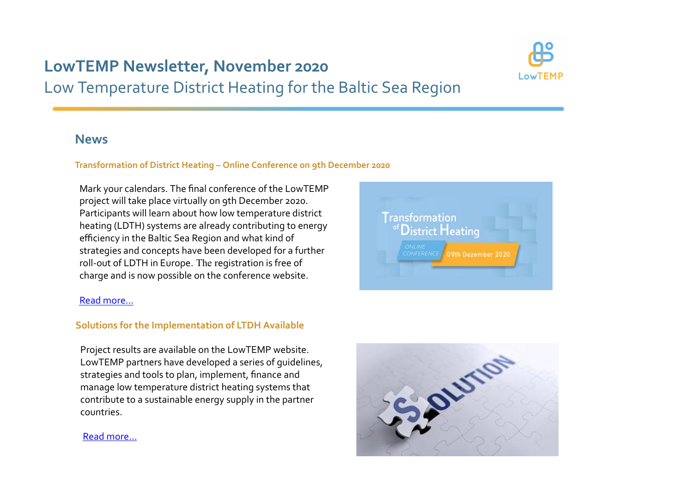# **LowTEMP Newsletter, November 2020**Low Temperature District Heating for the Baltic Sea Region



### **News**

#### **Transformation of District Heating – Online Conference on 9th December 2020**

Mark your calendars. The final conference of the LowTEMPproject will take place virtually on 9th December 2020.Participants will learn about how low temperature district heating (LDTH) systems are already contributing to energyefficiency in the Baltic Sea Region and what kind of strategies and concepts have been developed for a furtherroll‐out of LDTH in Europe. The registration is free ofcharge and is now possible on the conference website.

#### Read more…

#### **Solutions for the Implementation of LTDH Available**

Project results are available on the LowTEMP website.LowTEMP partners have developed a series of guidelines,strategies and tools to plan, implement, finance and manage low temperature district heating systems that contribute to a sustainable energy supply in the partnercountries.



**Transformation** 

istrict **H**eating

09th Dezember 2020

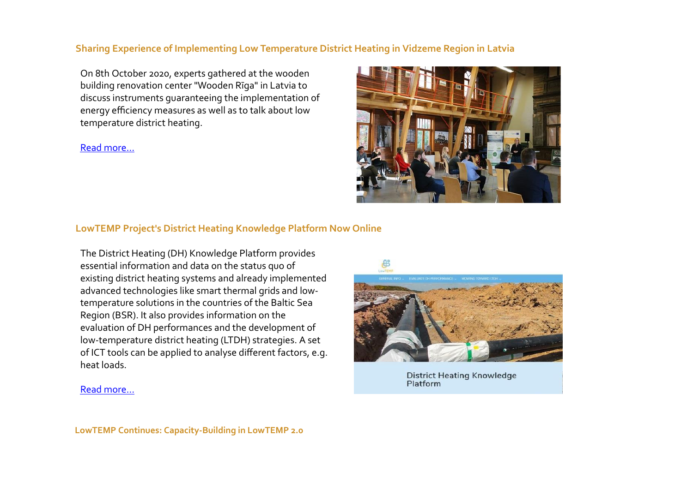#### **Sharing Experience of Implementing Low Temperature District Heating in Vidzeme Region in Latvia**

On 8th October 2020, experts gathered at the wooden building renovation center "Wooden Rīga" in Latvia to discuss instruments guaranteeing the implementation ofenergy efficiency measures as well as to talk about lowtemperature district heating.

#### Read more…



#### **LowTEMP Project's District Heating Knowledge Platform Now Online**

The District Heating (DH) Knowledge Platform providesessential information and data on the status quo of existing district heating systems and already implementedadvanced technologies like smart thermal grids and low‐temperature solutions in the countries of the Baltic SeaRegion (BSR). It also provides information on the evaluation of DH performances and the development of low‐temperature district heating (LTDH) strategies. A set of ICT tools can be applied to analyse different factors, e.g.heat loads.



**District Heating Knowledge** Platform

#### Read more…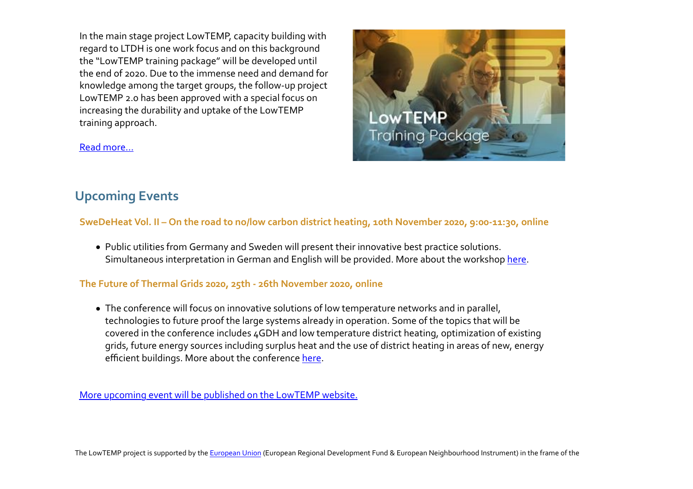In the main stage project LowTEMP, capacity building withregard to LTDH is one work focus and on this background the "LowTEMP training package" will be developed until the end of 2020. Due to the immense need and demand for knowledge among the target groups, the follow‐up projectLowTEMP 2.0 has been approved with a special focus onincreasing the durability and uptake of the LowTEMPtraining approach.



#### Read more...

## **Upcoming Events**

#### **SweDeHeat Vol. II – On the road to no/low carbon district heating, 10th November 2020, 9:00‐11:30, online**

Public utilities from Germany and Sweden will present their innovative best practice solutions.Simultaneous interpretation in German and English will be provided. More about the workshop here.

#### **The Future of Thermal Grids 2020, 25th ‐ 26th November 2020, online**

The conference will focus on innovative solutions of low temperature networks and in parallel,technologies to future proof the large systems already in operation. Some of the topics that will be covered in the conference includes 4GDH and low temperature district heating, optimization of existing grids, future energy sources including surplus heat and the use of district heating in areas of new, energyefficient buildings. More about the conference here.

More upcoming event will be published on the LowTEMP website.